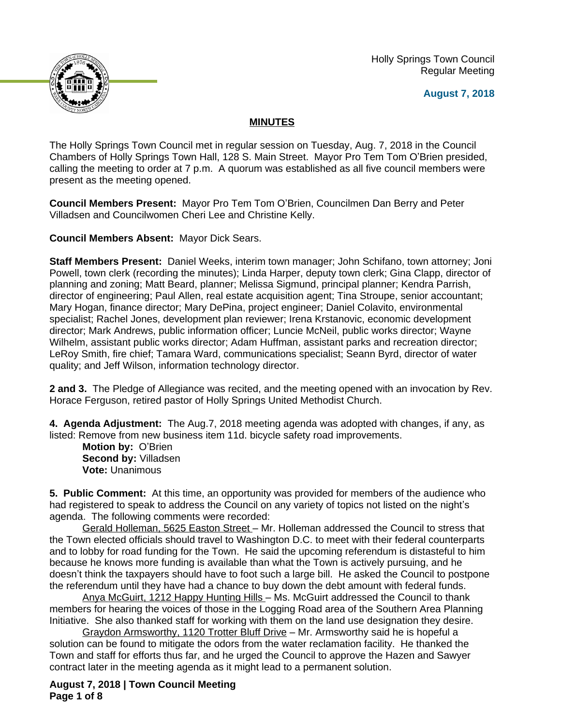Holly Springs Town Council Regular Meeting





## **MINUTES**

The Holly Springs Town Council met in regular session on Tuesday, Aug. 7, 2018 in the Council Chambers of Holly Springs Town Hall, 128 S. Main Street. Mayor Pro Tem Tom O'Brien presided, calling the meeting to order at 7 p.m. A quorum was established as all five council members were present as the meeting opened.

**Council Members Present:** Mayor Pro Tem Tom O'Brien, Councilmen Dan Berry and Peter Villadsen and Councilwomen Cheri Lee and Christine Kelly.

**Council Members Absent:** Mayor Dick Sears.

**Staff Members Present:** Daniel Weeks, interim town manager; John Schifano, town attorney; Joni Powell, town clerk (recording the minutes); Linda Harper, deputy town clerk; Gina Clapp, director of planning and zoning; Matt Beard, planner; Melissa Sigmund, principal planner; Kendra Parrish, director of engineering; Paul Allen, real estate acquisition agent; Tina Stroupe, senior accountant; Mary Hogan, finance director; Mary DePina, project engineer; Daniel Colavito, environmental specialist; Rachel Jones, development plan reviewer; Irena Krstanovic, economic development director; Mark Andrews, public information officer; Luncie McNeil, public works director; Wayne Wilhelm, assistant public works director; Adam Huffman, assistant parks and recreation director; LeRoy Smith, fire chief; Tamara Ward, communications specialist; Seann Byrd, director of water quality; and Jeff Wilson, information technology director.

**2 and 3.** The Pledge of Allegiance was recited, and the meeting opened with an invocation by Rev. Horace Ferguson, retired pastor of Holly Springs United Methodist Church.

**4. Agenda Adjustment:** The Aug.7, 2018 meeting agenda was adopted with changes, if any, as listed: Remove from new business item 11d. bicycle safety road improvements.

**Motion by:** O'Brien **Second by:** Villadsen **Vote:** Unanimous

**5. Public Comment:** At this time, an opportunity was provided for members of the audience who had registered to speak to address the Council on any variety of topics not listed on the night's agenda. The following comments were recorded:

Gerald Holleman, 5625 Easton Street – Mr. Holleman addressed the Council to stress that the Town elected officials should travel to Washington D.C. to meet with their federal counterparts and to lobby for road funding for the Town. He said the upcoming referendum is distasteful to him because he knows more funding is available than what the Town is actively pursuing, and he doesn't think the taxpayers should have to foot such a large bill. He asked the Council to postpone the referendum until they have had a chance to buy down the debt amount with federal funds.

Anya McGuirt, 1212 Happy Hunting Hills – Ms. McGuirt addressed the Council to thank members for hearing the voices of those in the Logging Road area of the Southern Area Planning Initiative. She also thanked staff for working with them on the land use designation they desire.

Graydon Armsworthy, 1120 Trotter Bluff Drive – Mr. Armsworthy said he is hopeful a solution can be found to mitigate the odors from the water reclamation facility. He thanked the Town and staff for efforts thus far, and he urged the Council to approve the Hazen and Sawyer contract later in the meeting agenda as it might lead to a permanent solution.

**August 7, 2018 | Town Council Meeting Page 1 of 8**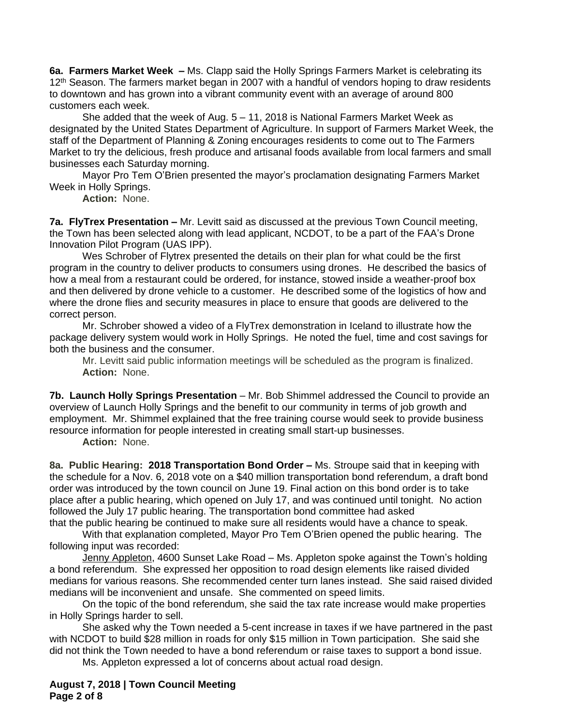**6a. Farmers Market Week –** Ms. Clapp said the Holly Springs Farmers Market is celebrating its 12<sup>th</sup> Season. The farmers market began in 2007 with a handful of vendors hoping to draw residents to downtown and has grown into a vibrant community event with an average of around 800 customers each week.

She added that the week of Aug. 5 – 11, 2018 is National Farmers Market Week as designated by the United States Department of Agriculture. In support of Farmers Market Week, the staff of the Department of Planning & Zoning encourages residents to come out to The Farmers Market to try the delicious, fresh produce and artisanal foods available from local farmers and small businesses each Saturday morning.

Mayor Pro Tem O'Brien presented the mayor's proclamation designating Farmers Market Week in Holly Springs.

**Action:** None.

**7a. FlyTrex Presentation –** Mr. Levitt said as discussed at the previous Town Council meeting, the Town has been selected along with lead applicant, NCDOT, to be a part of the FAA's Drone Innovation Pilot Program (UAS IPP).

Wes Schrober of Flytrex presented the details on their plan for what could be the first program in the country to deliver products to consumers using drones. He described the basics of how a meal from a restaurant could be ordered, for instance, stowed inside a weather-proof box and then delivered by drone vehicle to a customer. He described some of the logistics of how and where the drone flies and security measures in place to ensure that goods are delivered to the correct person.

Mr. Schrober showed a video of a FlyTrex demonstration in Iceland to illustrate how the package delivery system would work in Holly Springs. He noted the fuel, time and cost savings for both the business and the consumer.

Mr. Levitt said public information meetings will be scheduled as the program is finalized. **Action:** None.

**7b. Launch Holly Springs Presentation** – Mr. Bob Shimmel addressed the Council to provide an overview of Launch Holly Springs and the benefit to our community in terms of job growth and employment. Mr. Shimmel explained that the free training course would seek to provide business resource information for people interested in creating small start-up businesses.

**Action:** None.

**8a. Public Hearing: 2018 Transportation Bond Order –** Ms. Stroupe said that in keeping with the schedule for a Nov. 6, 2018 vote on a \$40 million transportation bond referendum, a draft bond order was introduced by the town council on June 19. Final action on this bond order is to take place after a public hearing, which opened on July 17, and was continued until tonight. No action followed the July 17 public hearing. The transportation bond committee had asked that the public hearing be continued to make sure all residents would have a chance to speak.

With that explanation completed, Mayor Pro Tem O'Brien opened the public hearing. The following input was recorded:

Jenny Appleton, 4600 Sunset Lake Road - Ms. Appleton spoke against the Town's holding a bond referendum. She expressed her opposition to road design elements like raised divided medians for various reasons. She recommended center turn lanes instead. She said raised divided medians will be inconvenient and unsafe. She commented on speed limits.

On the topic of the bond referendum, she said the tax rate increase would make properties in Holly Springs harder to sell.

She asked why the Town needed a 5-cent increase in taxes if we have partnered in the past with NCDOT to build \$28 million in roads for only \$15 million in Town participation. She said she did not think the Town needed to have a bond referendum or raise taxes to support a bond issue.

Ms. Appleton expressed a lot of concerns about actual road design.

**August 7, 2018 | Town Council Meeting Page 2 of 8**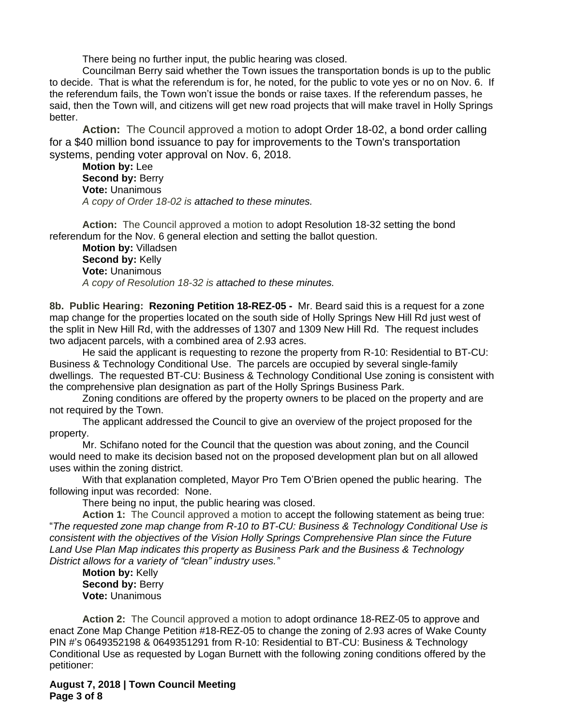There being no further input, the public hearing was closed.

Councilman Berry said whether the Town issues the transportation bonds is up to the public to decide. That is what the referendum is for, he noted, for the public to vote yes or no on Nov. 6. If the referendum fails, the Town won't issue the bonds or raise taxes. If the referendum passes, he said, then the Town will, and citizens will get new road projects that will make travel in Holly Springs better.

**Action:** The Council approved a motion to adopt Order 18-02, a bond order calling for a \$40 million bond issuance to pay for improvements to the Town's transportation systems, pending voter approval on Nov. 6, 2018.

**Motion by:** Lee **Second by: Berry Vote:** Unanimous *A copy of Order 18-02 is attached to these minutes.*

**Action:** The Council approved a motion to adopt Resolution 18-32 setting the bond referendum for the Nov. 6 general election and setting the ballot question.

**Motion by:** Villadsen **Second by:** Kelly **Vote:** Unanimous *A copy of Resolution 18-32 is attached to these minutes.*

**8b. Public Hearing: Rezoning Petition 18-REZ-05 -** Mr. Beard said this is a request for a zone map change for the properties located on the south side of Holly Springs New Hill Rd just west of the split in New Hill Rd, with the addresses of 1307 and 1309 New Hill Rd. The request includes two adjacent parcels, with a combined area of 2.93 acres.

He said the applicant is requesting to rezone the property from R-10: Residential to BT-CU: Business & Technology Conditional Use. The parcels are occupied by several single-family dwellings. The requested BT-CU: Business & Technology Conditional Use zoning is consistent with the comprehensive plan designation as part of the Holly Springs Business Park.

Zoning conditions are offered by the property owners to be placed on the property and are not required by the Town.

The applicant addressed the Council to give an overview of the project proposed for the property.

Mr. Schifano noted for the Council that the question was about zoning, and the Council would need to make its decision based not on the proposed development plan but on all allowed uses within the zoning district.

With that explanation completed, Mayor Pro Tem O'Brien opened the public hearing. The following input was recorded: None.

There being no input, the public hearing was closed.

**Action 1:** The Council approved a motion to accept the following statement as being true: "*The requested zone map change from R-10 to BT-CU: Business & Technology Conditional Use is consistent with the objectives of the Vision Holly Springs Comprehensive Plan since the Future Land Use Plan Map indicates this property as Business Park and the Business & Technology District allows for a variety of "clean" industry uses."*

**Motion by:** Kelly **Second by: Berry Vote:** Unanimous

**Action 2:** The Council approved a motion to adopt ordinance 18-REZ-05 to approve and enact Zone Map Change Petition #18-REZ-05 to change the zoning of 2.93 acres of Wake County PIN #'s 0649352198 & 0649351291 from R-10: Residential to BT-CU: Business & Technology Conditional Use as requested by Logan Burnett with the following zoning conditions offered by the petitioner:

**August 7, 2018 | Town Council Meeting Page 3 of 8**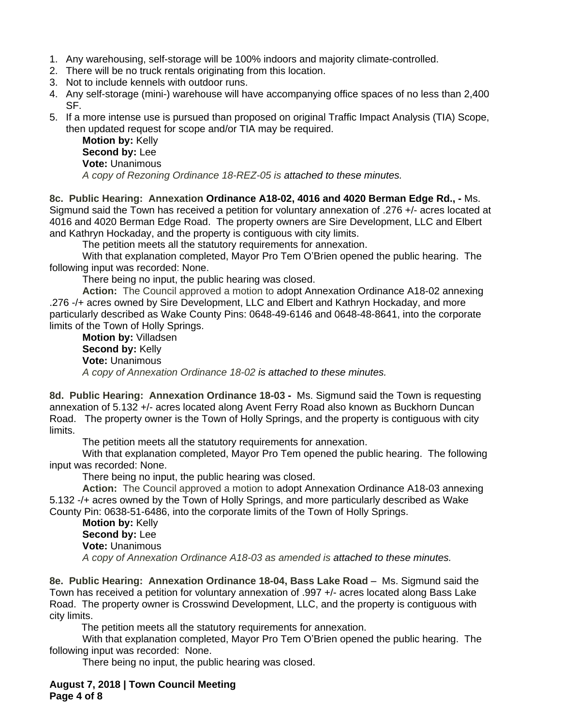- 1. Any warehousing, self-storage will be 100% indoors and majority climate-controlled.
- 2. There will be no truck rentals originating from this location.
- 3. Not to include kennels with outdoor runs.
- 4. Any self-storage (mini-) warehouse will have accompanying office spaces of no less than 2,400 SF.
- 5. If a more intense use is pursued than proposed on original Traffic Impact Analysis (TIA) Scope, then updated request for scope and/or TIA may be required.

**Motion by:** Kelly **Second by:** Lee **Vote:** Unanimous *A copy of Rezoning Ordinance 18-REZ-05 is attached to these minutes.*

**8c. Public Hearing: Annexation Ordinance A18-02, 4016 and 4020 Berman Edge Rd., -** Ms. Sigmund said the Town has received a petition for voluntary annexation of .276 +/- acres located at 4016 and 4020 Berman Edge Road. The property owners are Sire Development, LLC and Elbert and Kathryn Hockaday, and the property is contiguous with city limits.

The petition meets all the statutory requirements for annexation.

With that explanation completed, Mayor Pro Tem O'Brien opened the public hearing. The following input was recorded: None.

There being no input, the public hearing was closed.

**Action:** The Council approved a motion to adopt Annexation Ordinance A18-02 annexing .276 -/+ acres owned by Sire Development, LLC and Elbert and Kathryn Hockaday, and more particularly described as Wake County Pins: 0648-49-6146 and 0648-48-8641, into the corporate limits of the Town of Holly Springs.

**Motion by:** Villadsen **Second by:** Kelly **Vote:** Unanimous *A copy of Annexation Ordinance 18-02 is attached to these minutes.*

**8d. Public Hearing: Annexation Ordinance 18-03 -** Ms. Sigmund said the Town is requesting annexation of 5.132 +/- acres located along Avent Ferry Road also known as Buckhorn Duncan Road. The property owner is the Town of Holly Springs, and the property is contiguous with city limits.

The petition meets all the statutory requirements for annexation.

With that explanation completed, Mayor Pro Tem opened the public hearing. The following input was recorded: None.

There being no input, the public hearing was closed.

**Action:** The Council approved a motion to adopt Annexation Ordinance A18-03 annexing 5.132 -/+ acres owned by the Town of Holly Springs, and more particularly described as Wake County Pin: 0638-51-6486, into the corporate limits of the Town of Holly Springs.

**Motion by:** Kelly **Second by:** Lee **Vote:** Unanimous *A copy of Annexation Ordinance A18-03 as amended is attached to these minutes.*

**8e. Public Hearing: Annexation Ordinance 18-04, Bass Lake Road** – Ms. Sigmund said the Town has received a petition for voluntary annexation of .997 +/- acres located along Bass Lake Road. The property owner is Crosswind Development, LLC, and the property is contiguous with city limits.

The petition meets all the statutory requirements for annexation.

With that explanation completed, Mayor Pro Tem O'Brien opened the public hearing. The following input was recorded: None.

There being no input, the public hearing was closed.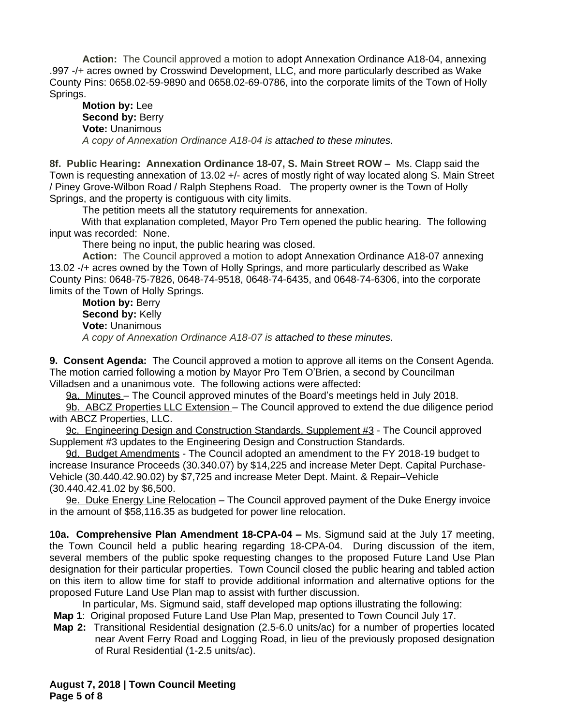**Action:** The Council approved a motion to adopt Annexation Ordinance A18-04, annexing .997 -/+ acres owned by Crosswind Development, LLC, and more particularly described as Wake County Pins: 0658.02-59-9890 and 0658.02-69-0786, into the corporate limits of the Town of Holly Springs.

**Motion by:** Lee **Second by:** Berry **Vote:** Unanimous *A copy of Annexation Ordinance A18-04 is attached to these minutes.*

**8f. Public Hearing: Annexation Ordinance 18-07, S. Main Street ROW** – Ms. Clapp said the Town is requesting annexation of 13.02 +/- acres of mostly right of way located along S. Main Street / Piney Grove-Wilbon Road / Ralph Stephens Road. The property owner is the Town of Holly Springs, and the property is contiguous with city limits.

The petition meets all the statutory requirements for annexation.

With that explanation completed, Mayor Pro Tem opened the public hearing. The following input was recorded: None.

There being no input, the public hearing was closed.

**Action:** The Council approved a motion to adopt Annexation Ordinance A18-07 annexing 13.02 -/+ acres owned by the Town of Holly Springs, and more particularly described as Wake County Pins: 0648-75-7826, 0648-74-9518, 0648-74-6435, and 0648-74-6306, into the corporate limits of the Town of Holly Springs.

**Motion by:** Berry **Second by:** Kelly **Vote:** Unanimous *A copy of Annexation Ordinance A18-07 is attached to these minutes.*

**9. Consent Agenda:** The Council approved a motion to approve all items on the Consent Agenda. The motion carried following a motion by Mayor Pro Tem O'Brien, a second by Councilman Villadsen and a unanimous vote. The following actions were affected:

9a. Minutes – The Council approved minutes of the Board's meetings held in July 2018.

9b. ABCZ Properties LLC Extension – The Council approved to extend the due diligence period with ABCZ Properties, LLC.

9c. Engineering Design and Construction Standards, Supplement #3 - The Council approved Supplement #3 updates to the Engineering Design and Construction Standards.

9d. Budget Amendments - The Council adopted an amendment to the FY 2018-19 budget to increase Insurance Proceeds (30.340.07) by \$14,225 and increase Meter Dept. Capital Purchase-Vehicle (30.440.42.90.02) by \$7,725 and increase Meter Dept. Maint. & Repair–Vehicle (30.440.42.41.02 by \$6,500.

9e. Duke Energy Line Relocation – The Council approved payment of the Duke Energy invoice in the amount of \$58,116.35 as budgeted for power line relocation.

**10a. Comprehensive Plan Amendment 18-CPA-04 –** Ms. Sigmund said at the July 17 meeting, the Town Council held a public hearing regarding 18-CPA-04. During discussion of the item, several members of the public spoke requesting changes to the proposed Future Land Use Plan designation for their particular properties. Town Council closed the public hearing and tabled action on this item to allow time for staff to provide additional information and alternative options for the proposed Future Land Use Plan map to assist with further discussion.

In particular, Ms. Sigmund said, staff developed map options illustrating the following:

**Map 1**: Original proposed Future Land Use Plan Map, presented to Town Council July 17.

**Map 2:** Transitional Residential designation (2.5-6.0 units/ac) for a number of properties located near Avent Ferry Road and Logging Road, in lieu of the previously proposed designation of Rural Residential (1-2.5 units/ac).

**August 7, 2018 | Town Council Meeting Page 5 of 8**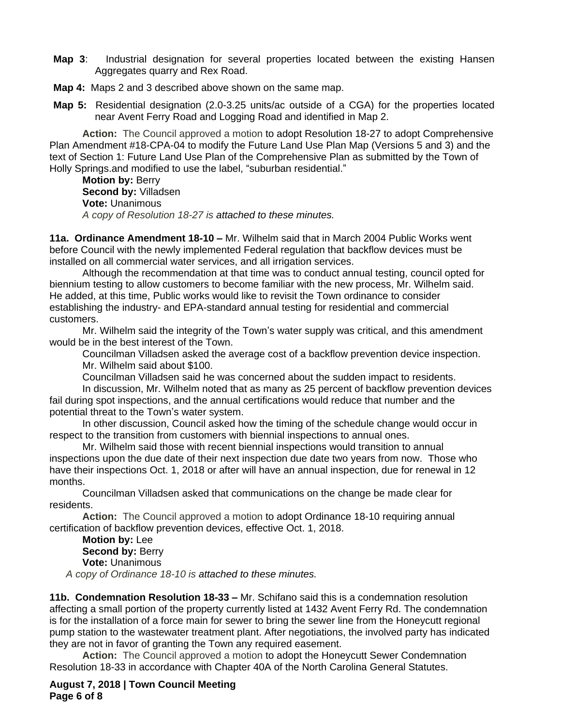- **Map 3**: Industrial designation for several properties located between the existing Hansen Aggregates quarry and Rex Road.
- **Map 4:** Maps 2 and 3 described above shown on the same map.
- **Map 5:** Residential designation (2.0-3.25 units/ac outside of a CGA) for the properties located near Avent Ferry Road and Logging Road and identified in Map 2.

**Action:** The Council approved a motion to adopt Resolution 18-27 to adopt Comprehensive Plan Amendment #18-CPA-04 to modify the Future Land Use Plan Map (Versions 5 and 3) and the text of Section 1: Future Land Use Plan of the Comprehensive Plan as submitted by the Town of Holly Springs.and modified to use the label, "suburban residential."

**Motion by:** Berry **Second by:** Villadsen **Vote:** Unanimous *A copy of Resolution 18-27 is attached to these minutes.*

**11a. Ordinance Amendment 18-10 –** Mr. Wilhelm said that in March 2004 Public Works went before Council with the newly implemented Federal regulation that backflow devices must be installed on all commercial water services, and all irrigation services.

Although the recommendation at that time was to conduct annual testing, council opted for biennium testing to allow customers to become familiar with the new process, Mr. Wilhelm said. He added, at this time, Public works would like to revisit the Town ordinance to consider establishing the industry- and EPA-standard annual testing for residential and commercial customers.

Mr. Wilhelm said the integrity of the Town's water supply was critical, and this amendment would be in the best interest of the Town.

Councilman Villadsen asked the average cost of a backflow prevention device inspection. Mr. Wilhelm said about \$100.

Councilman Villadsen said he was concerned about the sudden impact to residents.

In discussion, Mr. Wilhelm noted that as many as 25 percent of backflow prevention devices fail during spot inspections, and the annual certifications would reduce that number and the potential threat to the Town's water system.

In other discussion, Council asked how the timing of the schedule change would occur in respect to the transition from customers with biennial inspections to annual ones.

Mr. Wilhelm said those with recent biennial inspections would transition to annual inspections upon the due date of their next inspection due date two years from now. Those who have their inspections Oct. 1, 2018 or after will have an annual inspection, due for renewal in 12 months.

Councilman Villadsen asked that communications on the change be made clear for residents.

**Action:** The Council approved a motion to adopt Ordinance 18-10 requiring annual certification of backflow prevention devices, effective Oct. 1, 2018.

**Motion by:** Lee **Second by: Berry Vote:** Unanimous *A copy of Ordinance 18-10 is attached to these minutes.*

**11b. Condemnation Resolution 18-33 –** Mr. Schifano said this is a condemnation resolution affecting a small portion of the property currently listed at 1432 Avent Ferry Rd. The condemnation is for the installation of a force main for sewer to bring the sewer line from the Honeycutt regional pump station to the wastewater treatment plant. After negotiations, the involved party has indicated they are not in favor of granting the Town any required easement.

**Action:** The Council approved a motion to adopt the Honeycutt Sewer Condemnation Resolution 18-33 in accordance with Chapter 40A of the North Carolina General Statutes.

**August 7, 2018 | Town Council Meeting Page 6 of 8**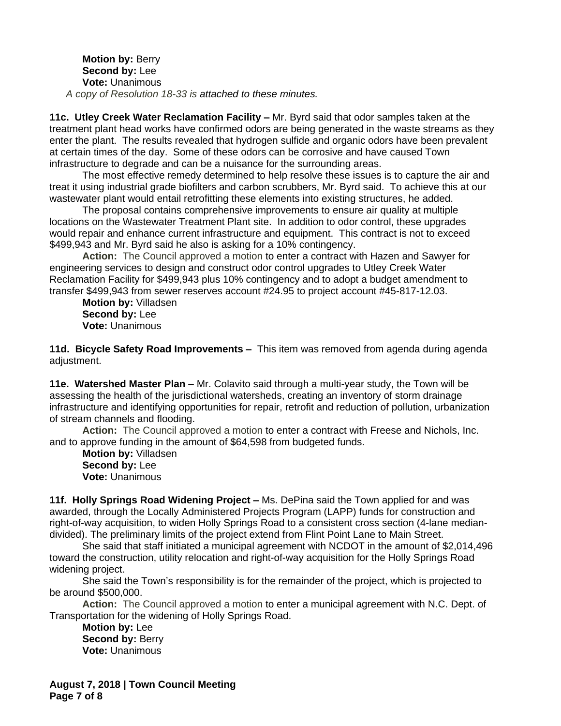**Motion by:** Berry **Second by:** Lee **Vote:** Unanimous *A copy of Resolution 18-33 is attached to these minutes.*

**11c. Utley Creek Water Reclamation Facility –** Mr. Byrd said that odor samples taken at the treatment plant head works have confirmed odors are being generated in the waste streams as they enter the plant. The results revealed that hydrogen sulfide and organic odors have been prevalent at certain times of the day. Some of these odors can be corrosive and have caused Town infrastructure to degrade and can be a nuisance for the surrounding areas.

The most effective remedy determined to help resolve these issues is to capture the air and treat it using industrial grade biofilters and carbon scrubbers, Mr. Byrd said. To achieve this at our wastewater plant would entail retrofitting these elements into existing structures, he added.

The proposal contains comprehensive improvements to ensure air quality at multiple locations on the Wastewater Treatment Plant site. In addition to odor control, these upgrades would repair and enhance current infrastructure and equipment. This contract is not to exceed \$499,943 and Mr. Byrd said he also is asking for a 10% contingency.

**Action:** The Council approved a motion to enter a contract with Hazen and Sawyer for engineering services to design and construct odor control upgrades to Utley Creek Water Reclamation Facility for \$499,943 plus 10% contingency and to adopt a budget amendment to transfer \$499,943 from sewer reserves account #24.95 to project account #45-817-12.03.

**Motion by:** Villadsen **Second by:** Lee **Vote:** Unanimous

**11d. Bicycle Safety Road Improvements –** This item was removed from agenda during agenda adiustment.

**11e. Watershed Master Plan –** Mr. Colavito said through a multi-year study, the Town will be assessing the health of the jurisdictional watersheds, creating an inventory of storm drainage infrastructure and identifying opportunities for repair, retrofit and reduction of pollution, urbanization of stream channels and flooding.

**Action:** The Council approved a motion to enter a contract with Freese and Nichols, Inc. and to approve funding in the amount of \$64,598 from budgeted funds.

**Motion by:** Villadsen **Second by:** Lee **Vote:** Unanimous

**11f. Holly Springs Road Widening Project –** Ms. DePina said the Town applied for and was awarded, through the Locally Administered Projects Program (LAPP) funds for construction and right-of-way acquisition, to widen Holly Springs Road to a consistent cross section (4-lane mediandivided). The preliminary limits of the project extend from Flint Point Lane to Main Street.

She said that staff initiated a municipal agreement with NCDOT in the amount of \$2,014,496 toward the construction, utility relocation and right-of-way acquisition for the Holly Springs Road widening project.

She said the Town's responsibility is for the remainder of the project, which is projected to be around \$500,000.

**Action:** The Council approved a motion to enter a municipal agreement with N.C. Dept. of Transportation for the widening of Holly Springs Road.

**Motion by:** Lee **Second by: Berry Vote:** Unanimous

**August 7, 2018 | Town Council Meeting Page 7 of 8**